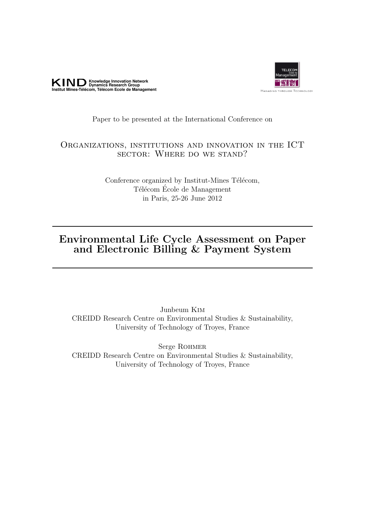



### Paper to be presented at the International Conference on

## Organizations, institutions and innovation in the ICT sector: Where do we stand?

Conference organized by Institut-Mines Télécom, Télécom École de Management in Paris, 25-26 June 2012

## Environmental Life Cycle Assessment on Paper and Electronic Billing & Payment System

Junbeum Kim CREIDD Research Centre on Environmental Studies & Sustainability, University of Technology of Troyes, France

Serge Rohmer CREIDD Research Centre on Environmental Studies & Sustainability, University of Technology of Troyes, France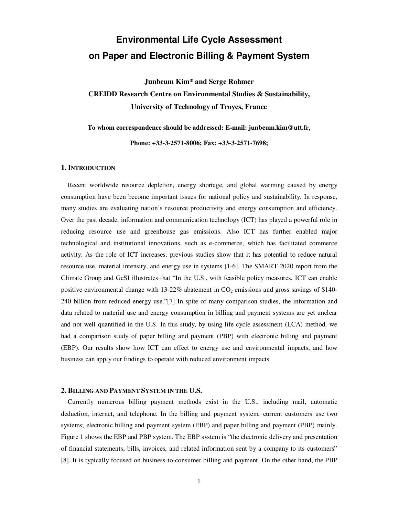# **Environmental Life Cycle Assessment on Paper and Electronic Billing & Payment System**

**Junbeum Kim\* and Serge Rohmer** 

**CREIDD Research Centre on Environmental Studies & Sustainability, University of Technology of Troyes, France** 

**To whom correspondence should be addressed: E-mail: junbeum.kim@utt.fr,** 

**Phone: +33-3-2571-8006; Fax: +33-3-2571-7698;** 

#### **1. INTRODUCTION**

Recent worldwide resource depletion, energy shortage, and global warming caused by energy consumption have been become important issues for national policy and sustainability. In response, many studies are evaluating nation's resource productivity and energy consumption and efficiency. Over the past decade, information and communication technology (ICT) has played a powerful role in reducing resource use and greenhouse gas emissions. Also ICT has further enabled major technological and institutional innovations, such as e-commerce, which has facilitated commerce activity. As the role of ICT increases, previous studies show that it has potential to reduce natural resource use, material intensity, and energy use in systems [1-6]. The SMART 2020 report from the Climate Group and GeSI illustrates that "In the U.S., with feasible policy measures, ICT can enable positive environmental change with  $13{\text -}22\%$  abatement in  $CO_2$  emissions and gross savings of \$140-240 billion from reduced energy use."[7] In spite of many comparison studies, the information and data related to material use and energy consumption in billing and payment systems are yet unclear and not well quantified in the U.S. In this study, by using life cycle assessment (LCA) method, we had a comparison study of paper billing and payment (PBP) with electronic billing and payment (EBP). Our results show how ICT can effect to energy use and environmental impacts, and how business can apply our findings to operate with reduced environment impacts.

#### **2. BILLING AND PAYMENT SYSTEM IN THE U.S.**

Currently numerous billing payment methods exist in the U.S., including mail, automatic deduction, internet, and telephone. In the billing and payment system, current customers use two systems; electronic billing and payment system (EBP) and paper billing and payment (PBP) mainly. Figure 1 shows the EBP and PBP system. The EBP system is "the electronic delivery and presentation of financial statements, bills, invoices, and related information sent by a company to its customers" [8]. It is typically focused on business-to-consumer billing and payment. On the other hand, the PBP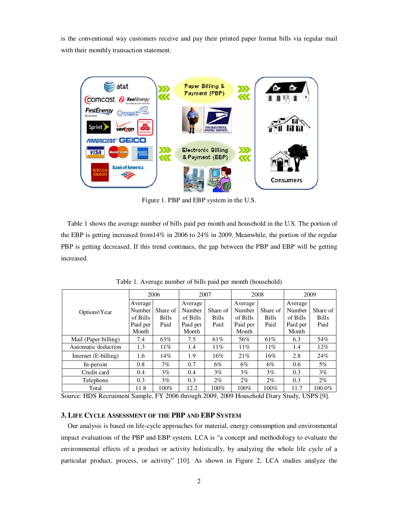is the conventional way customers receive and pay their printed paper format bills via regular mail with their monthly transaction statement.



Figure 1. PBP and EBP system in the U.S.

Table 1 shows the average number of bills paid per month and household in the U.S. The portion of the EBP is getting increased from14% in 2006 to 24% in 2009. Meanwhile, the portion of the regular PBP is getting decreased. If this trend continues, the gap between the PBP and EBP will be getting increased.

|                      | 2006     |              | 2007     |              | 2008     |              | 2009     |              |
|----------------------|----------|--------------|----------|--------------|----------|--------------|----------|--------------|
| Options\Year         | Average  |              | Average  |              | Average  |              | Average  |              |
|                      | Number   | Share of     | Number   | Share of     | Number   | Share of     | Number   | Share of     |
|                      | of Bills | <b>Bills</b> | of Bills | <b>Bills</b> | of Bills | <b>Bills</b> | of Bills | <b>Bills</b> |
|                      | Paid per | Paid         | Paid per | Paid         | Paid per | Paid         | Paid per | Paid         |
|                      | Month    |              | Month    |              | Month    |              | Month    |              |
| Mail (Paper billing) | 7.4      | 63%          | 7.5      | 61%          | 56%      | 61\%         | 6.3      | 54%          |
| Automatic deduction  | 1.3      | $11\%$       | 1.4      | 11%          | 11%      | 11%          | 1.4      | 12%          |
| Internet (E-billing) | 1.6      | 14%          | 1.9      | 16%          | 21%      | $16\%$       | 2.8      | 24%          |
| In-person            | 0.8      | 7%           | 0.7      | $6\%$        | $6\%$    | $6\%$        | 0.6      | 5%           |
| Credit card          | 0.4      | $3\%$        | 0.4      | $3\%$        | $3\%$    | $3\%$        | 0.3      | $3\%$        |
| Telephone            | 0.3      | $3\%$        | 0.3      | $2\%$        | $2\%$    | $2\%$        | 0.3      | $2\%$        |
| Total                | 11.8     | $100\%$      | 12.2     | $100\%$      | 100%     | $100\%$      | 11.7     | 100.0%       |

Table 1. Average number of bills paid per month (household)

Source: HDS Recruiment Sample, FY 2006 through 2009, 2009 Household Diary Study, USPS [9].

#### **3. LIFE CYCLE ASSESSMENT OF THE PBP AND EBP SYSTEM**

Our analysis is based on life-cycle approaches for material, energy consumption and environmental impact evaluations of the PBP and EBP system. LCA is "a concept and methodology to evaluate the environmental effects of a product or activity holistically, by analyzing the whole life cycle of a particular product, process, or activity" [10]. As shown in Figure 2, LCA studies analyze the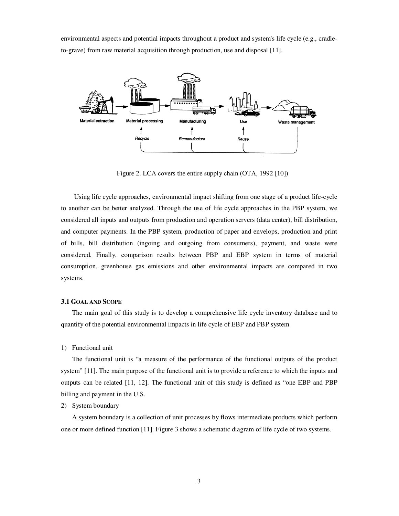environmental aspects and potential impacts throughout a product and system's life cycle (e.g., cradleto-grave) from raw material acquisition through production, use and disposal [11].



Figure 2. LCA covers the entire supply chain (OTA, 1992 [10])

Using life cycle approaches, environmental impact shifting from one stage of a product life-cycle to another can be better analyzed. Through the use of life cycle approaches in the PBP system, we considered all inputs and outputs from production and operation servers (data center), bill distribution, and computer payments. In the PBP system, production of paper and envelops, production and print of bills, bill distribution (ingoing and outgoing from consumers), payment, and waste were considered. Finally, comparison results between PBP and EBP system in terms of material consumption, greenhouse gas emissions and other environmental impacts are compared in two systems.

#### **3.1 GOAL AND SCOPE**

The main goal of this study is to develop a comprehensive life cycle inventory database and to quantify of the potential environmental impacts in life cycle of EBP and PBP system

1) Functional unit

The functional unit is "a measure of the performance of the functional outputs of the product system" [11]. The main purpose of the functional unit is to provide a reference to which the inputs and outputs can be related [11, 12]. The functional unit of this study is defined as "one EBP and PBP billing and payment in the U.S.

#### 2) System boundary

A system boundary is a collection of unit processes by flows intermediate products which perform one or more defined function [11]. Figure 3 shows a schematic diagram of life cycle of two systems.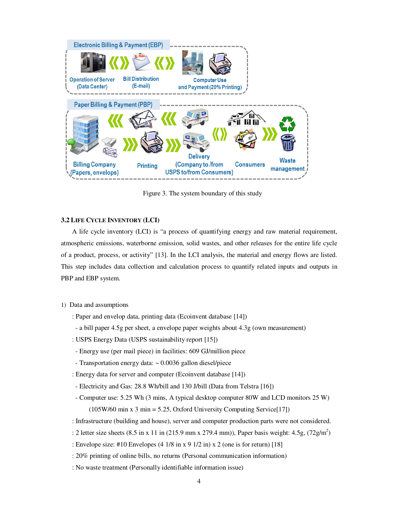

Figure 3. The system boundary of this study

#### **3.2 LIFE CYCLE INVENTORY (LCI)**

A life cycle inventory (LCI) is "a process of quantifying energy and raw material requirement, atmospheric emissions, waterborne emission, solid wastes, and other releases for the entire life cycle of a product, process, or activity" [13]. In the LCI analysis, the material and energy flows are listed. This step includes data collection and calculation process to quantify related inputs and outputs in PBP and EBP system.

- 1) Data and assumptions
	- : Paper and envelop data, printing data (Ecoinvent database [14])
	- a bill paper 4.5g per sheet, a envelope paper weights about 4.3g (own measurement)
	- : USPS Energy Data (USPS sustainability report [15])
	- Energy use (per mail piece) in facilities: 609 GJ/million piece
	- Transportation energy data: ~ 0.0036 gallon diesel/piece
	- : Energy data for server and computer (Ecoinvent database [14])
	- Electricity and Gas: 28.8 Wh/bill and 130 J/bill (Data from Telstra [16])
	- Computer use: 5.25 Wh (3 mins, A typical desktop computer 80W and LCD monitors 25 W)  $(105W/60 \text{ min x } 3 \text{ min} = 5.25,$  Oxford University Computing Service [17])
	- : Infrastructure (building and house), server and computer production parts were not considered.
	- : 2 letter size sheets  $(8.5 \text{ in } x 11 \text{ in } (215.9 \text{ mm} x 279.4 \text{ mm}))$ , Paper basis weight: 4.5g,  $(72 \text{g/m}^2)$
	- : Envelope size: #10 Envelopes (4 1/8 in x 9 1/2 in) x 2 (one is for return) [18]
	- : 20% printing of online bills, no returns (Personal communication information)
	- : No waste treatment (Personally identifiable information issue)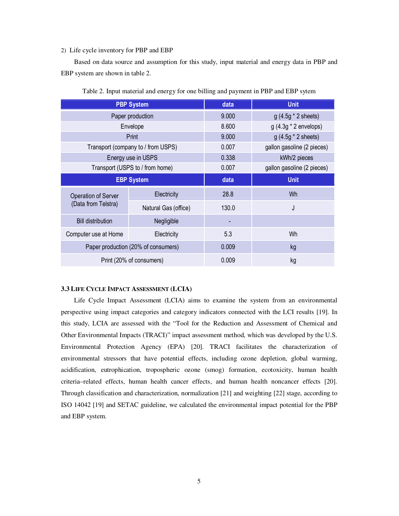#### 2) Life cycle inventory for PBP and EBP

Based on data source and assumption for this study, input material and energy data in PBP and EBP system are shown in table 2.

|                                                   | <b>PBP System</b>                   | data  | <b>Unit</b>                |  |  |
|---------------------------------------------------|-------------------------------------|-------|----------------------------|--|--|
|                                                   | Paper production                    | 9.000 | $g(4.5g * 2 sheets)$       |  |  |
|                                                   | Envelope                            | 8.600 | $g(4.3g * 2$ envelops)     |  |  |
|                                                   | Print                               | 9.000 | $g(4.5g * 2 sheets)$       |  |  |
|                                                   | Transport (company to / from USPS)  | 0.007 | gallon gasoline (2 pieces) |  |  |
|                                                   | Energy use in USPS                  | 0.338 | kWh/2 pieces               |  |  |
|                                                   | Transport (USPS to / from home)     | 0.007 | gallon gasoline (2 pieces) |  |  |
|                                                   | <b>EBP System</b>                   | data  | <b>Unit</b>                |  |  |
| <b>Operation of Server</b><br>(Data from Telstra) | Electricity                         | 28.8  | Wh                         |  |  |
|                                                   | Natural Gas (office)                | 130.0 | J                          |  |  |
| <b>Bill distribution</b>                          | Negligible                          |       |                            |  |  |
| Computer use at Home                              | Electricity                         | 5.3   | Wh                         |  |  |
|                                                   | Paper production (20% of consumers) | 0.009 | kg                         |  |  |
|                                                   | Print (20% of consumers)            | 0.009 | kg                         |  |  |

Table 2. Input material and energy for one billing and payment in PBP and EBP sytem

#### **3.3 LIFE CYCLE IMPACT ASSESSMENT (LCIA)**

Life Cycle Impact Assessment (LCIA) aims to examine the system from an environmental perspective using impact categories and category indicators connected with the LCI results [19]. In this study, LCIA are assessed with the "Tool for the Reduction and Assessment of Chemical and Other Environmental Impacts (TRACI)" impact assessment method, which was developed by the U.S. Environmental Protection Agency (EPA) [20]. TRACI facilitates the characterization of environmental stressors that have potential effects, including ozone depletion, global warming, acidification, eutrophication, tropospheric ozone (smog) formation, ecotoxicity, human health criteria–related effects, human health cancer effects, and human health noncancer effects [20]. Through classification and characterization, normalization [21] and weighting [22] stage, according to ISO 14042 [19] and SETAC guideline, we calculated the environmental impact potential for the PBP and EBP system.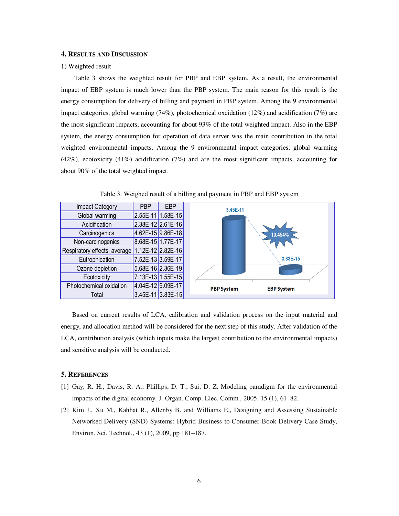#### **4. RESULTS AND DISCUSSION**

#### 1) Weighted result

Table 3 shows the weighted result for PBP and EBP system. As a result, the environmental impact of EBP system is much lower than the PBP system. The main reason for this result is the energy consumption for delivery of billing and payment in PBP system. Among the 9 environmental impact categories, global warming (74%), photochemical oxcidation (12%) and acidification (7%) are the most significant impacts, accounting for about 93% of the total weighted impact. Also in the EBP system, the energy consumption for operation of data server was the main contribution in the total weighted environmental impacts. Among the 9 environmental impact categories, global warming (42%), ecotoxicity (41%) acidification (7%) and are the most significant impacts, accounting for about 90% of the total weighted impact.



Table 3. Weighed result of a billing and payment in PBP and EBP system

Based on current results of LCA, calibration and validation process on the input material and energy, and allocation method will be considered for the next step of this study. After validation of the LCA, contribution analysis (which inputs make the largest contribution to the environmental impacts) and sensitive analysis will be conducted.

#### **5. REFERENCES**

- [1] Gay, R. H.; Davis, R. A.; Phillips, D. T.; Sui, D. Z. Modeling paradigm for the environmental impacts of the digital economy. J. Organ. Comp. Elec. Comm., 2005. 15 (1), 61–82.
- [2] Kim J., Xu M., Kahhat R., Allenby B. and Williams E., Designing and Assessing Sustainable Networked Delivery (SND) Systems: Hybrid Business-to-Consumer Book Delivery Case Study, Environ. Sci. Technol., 43 (1), 2009, pp 181–187.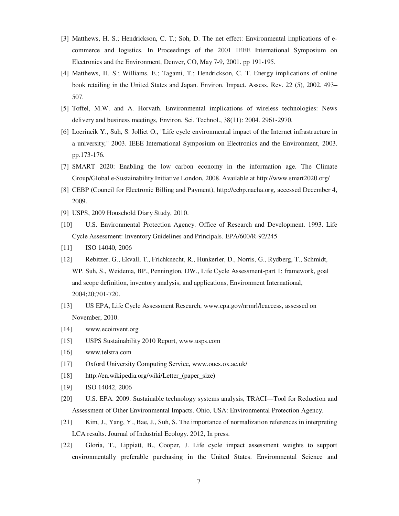- [3] Matthews, H. S.; Hendrickson, C. T.; Soh, D. The net effect: Environmental implications of ecommerce and logistics. In Proceedings of the 2001 IEEE International Symposium on Electronics and the Environment, Denver, CO, May 7-9, 2001. pp 191-195.
- [4] Matthews, H. S.; Williams, E.; Tagami, T.; Hendrickson, C. T. Energy implications of online book retailing in the United States and Japan. Environ. Impact. Assess. Rev. 22 (5), 2002. 493– 507.
- [5] Toffel, M.W. and A. Horvath. Environmental implications of wireless technologies: News delivery and business meetings, Environ. Sci. Technol., 38(11): 2004. 2961-2970.
- [6] Loerincik Y., Suh, S. Jolliet O., "Life cycle environmental impact of the Internet infrastructure in a university," 2003. IEEE International Symposium on Electronics and the Environment, 2003. pp.173-176.
- [7] SMART 2020: Enabling the low carbon economy in the information age. The Climate Group/Global e-Sustainability Initiative London, 2008. Available at http://www.smart2020.org/
- [8] CEBP (Council for Electronic Billing and Payment), http://cebp.nacha.org, accessed December 4, 2009.
- [9] USPS, 2009 Household Diary Study, 2010.
- [10] U.S. Environmental Protection Agency. Office of Research and Development. 1993. Life Cycle Assessment: Inventory Guidelines and Principals. EPA/600/R-92/245
- [11] **ISO 14040, 2006**
- [12] Rebitzer, G., Ekvall, T., Frichknecht, R., Hunkerler, D., Norris, G., Rydberg, T., Schmidt, WP. Suh, S., Weidema, BP., Pennington, DW., Life Cycle Assessment-part 1: framework, goal and scope definition, inventory analysis, and applications, Environment International, 2004;20;701-720.
- [13] US EPA, Life Cycle Assessment Research, www.epa.gov/nrmrl/lcaccess, assessed on November, 2010.
- [14] www.ecoinvent.org
- [15] USPS Sustainability 2010 Report, www.usps.com
- [16] www.telstra.com
- [17] Oxford University Computing Service, www.oucs.ox.ac.uk/
- [18] http://en.wikipedia.org/wiki/Letter\_(paper\_size)
- [19] **ISO 14042, 2006**
- [20] U.S. EPA. 2009. Sustainable technology systems analysis, TRACI—Tool for Reduction and Assessment of Other Environmental Impacts. Ohio, USA: Environmental Protection Agency.
- [21] Kim, J., Yang, Y., Bae, J., Suh, S. The importance of normalization references in interpreting LCA results. Journal of Industrial Ecology. 2012, In press.
- [22] Gloria, T., Lippiatt, B., Cooper, J. Life cycle impact assessment weights to support environmentally preferable purchasing in the United States. Environmental Science and